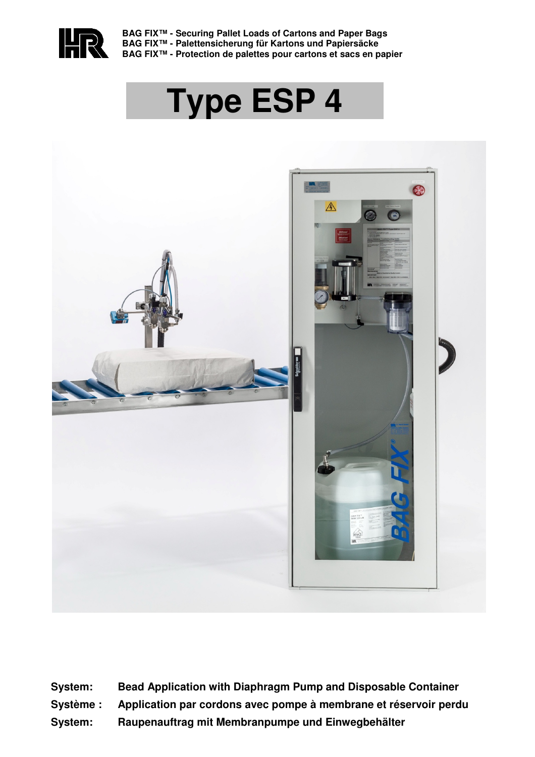

**BAG FIX™ - Securing Pallet Loads of Cartons and Paper Bags BAG FIX™ - Palettensicherung für Kartons und Papiersäcke BAG FIX™ - Protection de palettes pour cartons et sacs en papier**

# **Type ESP 4**



**System: Bead Application with Diaphragm Pump and Disposable Container Système : Application par cordons avec pompe à membrane et réservoir perdu System: Raupenauftrag mit Membranpumpe und Einwegbehälter**